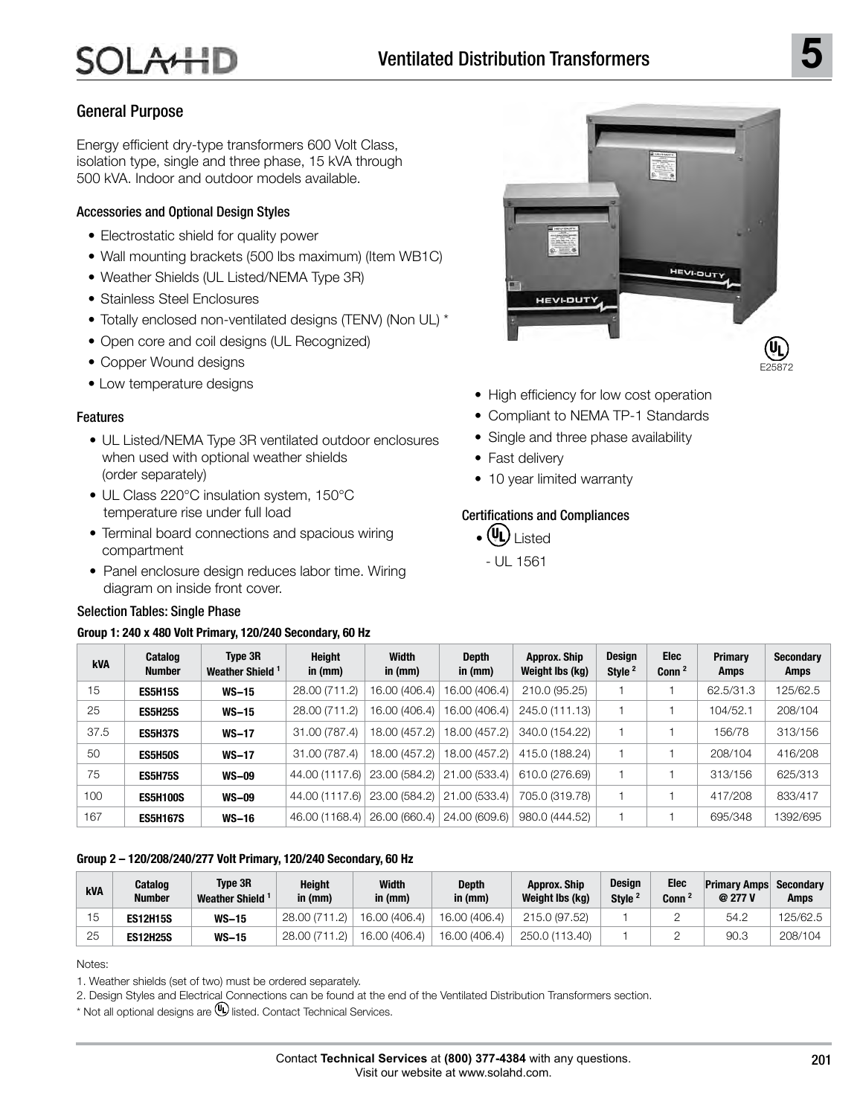# General Purpose

Energy efficient dry-type transformers 600 Volt Class, isolation type, single and three phase, 15 kVA through 500 kVA. Indoor and outdoor models available.

## Accessories and Optional Design Styles

- Electrostatic shield for quality power
- Wall mounting brackets (500 lbs maximum) (Item WB1C)
- Weather Shields (UL Listed/NEMA Type 3R)
- Stainless Steel Enclosures
- Totally enclosed non-ventilated designs (TENV) (Non UL) \*
- Open core and coil designs (UL Recognized)
- Copper Wound designs
- Low temperature designs

#### Features

- UL Listed/NEMA Type 3R ventilated outdoor enclosures when used with optional weather shields (order separately)
- UL Class 220°C insulation system, 150°C temperature rise under full load
- Terminal board connections and spacious wiring compartment
- Panel enclosure design reduces labor time. Wiring diagram on inside front cover.

#### Selection Tables: Single Phase

#### **Group 1: 240 x 480 Volt Primary, 120/240 Secondary, 60 Hz**



- High efficiency for low cost operation
- Compliant to NEMA TP-1 Standards
- Single and three phase availability
- Fast delivery
- 10 year limited warranty

## Certifications and Compliances

- $_{\bullet}$  (UL)  $_{\rm l}\,_{\rm{isted}}$  $- 111 1561$
- **kVA Catalog Number Type 3R Weather Shield <sup>1</sup> Height in (mm) Width in (mm) Depth in (mm) Approx. Ship Weight lbs (kg) Design Style <sup>2</sup> Elec Conn <sup>2</sup> Primary Amps Secondary Amps** 15 **ES5H15S WS-15** 28.00 (711.2) 16.00 (406.4) 16.00 (406.4) 210.0 (95.25) 1 1 62.5/31.3 125/62.5 25 **ES5H25S WS-15** 28.00 (711.2) 16.00 (406.4) 16.00 (406.4) 245.0 (111.13) 1 1 104/52.1 208/104 37.5 **ES5H37S WS-17** 31.00 (787.4) 18.00 (457.2) 18.00 (457.2) 340.0 (154.22) 1 1 156/78 313/156 50 **ES5H50S WS-17** 31.00 (787.4) 18.00 (457.2) 18.00 (457.2) 415.0 (188.24) 1 1 208/104 416/208 75 **ES5H75S WS-09** 44.00 (1117.6) 23.00 (584.2) 21.00 (533.4) 610.0 (276.69) 1 1 313/156 625/313 100 **ES5H100S WS-09** 44.00 (1117.6) 23.00 (584.2) 21.00 (533.4) 705.0 (319.78) 1 1 417/208 833/417 167 **ES5H167S WS-16** 46.00 (1168.4) 26.00 (660.4) 24.00 (609.6) 980.0 (444.52) 1 1 695/348 1392/695

#### **Group 2 – 120/208/240/277 Volt Primary, 120/240 Secondary, 60 Hz**

| kVA | Catalog<br><b>Number</b> | Tvpe 3R<br><b>Weather Shield</b> | Height<br>in $(mm)$ | Width<br>in (mm) | <b>Depth</b><br>in $(mm)$ | <b>Approx. Ship</b><br>Weight Ibs (kg) | Desian<br>Style <sup>2</sup> | Elec<br>Conn <sup>2</sup> | <b>Primary Amps</b><br>@ 277 V | Secondary<br>Amps |
|-----|--------------------------|----------------------------------|---------------------|------------------|---------------------------|----------------------------------------|------------------------------|---------------------------|--------------------------------|-------------------|
| ь.  | <b>ES12H15S</b>          | <b>WS-15</b>                     | 28.00 (711.2)       | 16.00 (406.4)    | 16.00 (406.4)             | 215.0 (97.52)                          |                              |                           | 54.2                           | 125/62.5          |
| 25  | <b>ES12H25S</b>          | <b>WS-15</b>                     | 28.00 (711.2)       | 16.00 (406.4)    | 16.00 (406.4)             | 250.0 (113.40)                         |                              |                           | 90.3                           | 208/104           |

Notes:

1. Weather shields (set of two) must be ordered separately.

2. Design Styles and Electrical Connections can be found at the end of the Ventilated Distribution Transformers section.

 $*$  Not all optional designs are  $\mathbf{\mathbb{Q}}$  listed. Contact Technical Services.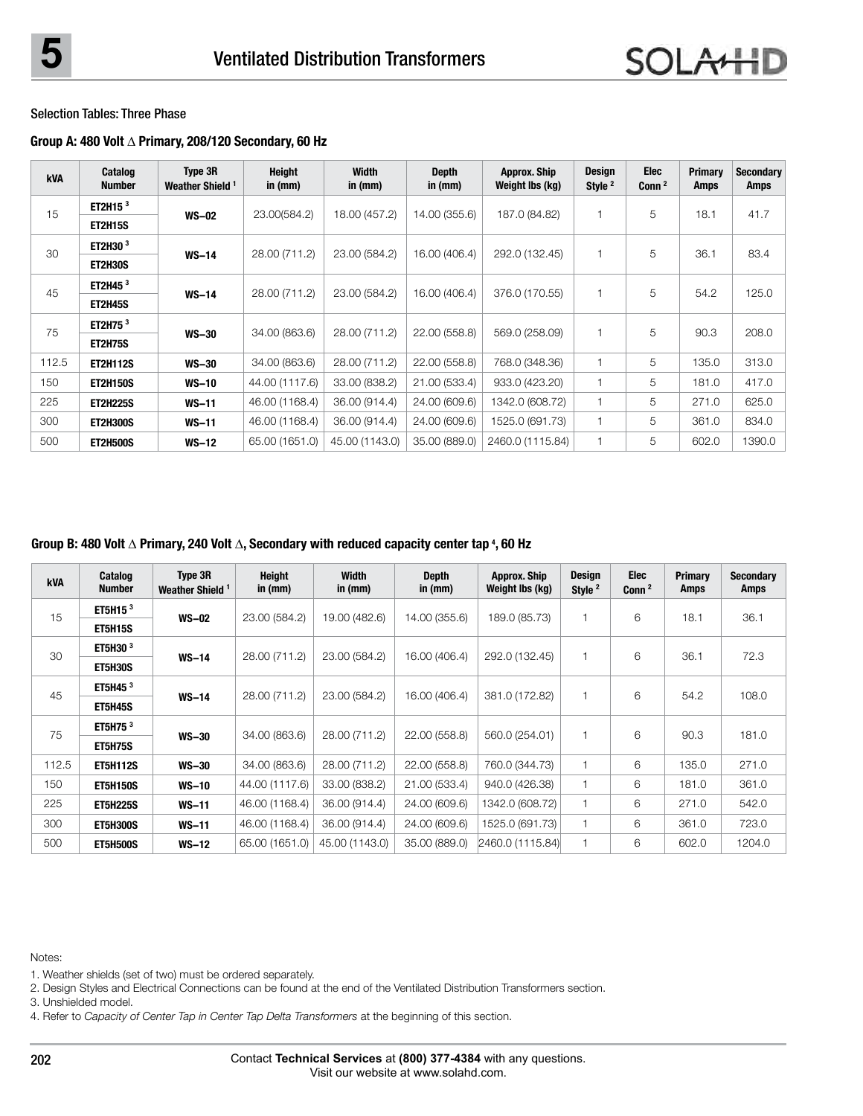#### **Group A: 480 Volt** Δ **Primary, 208/120 Secondary, 60 Hz**

| <b>kVA</b> | Catalog<br><b>Number</b> | Type 3R<br>Weather Shield <sup>1</sup> | <b>Height</b><br>in $(mm)$ | <b>Width</b><br>in (mm) | <b>Depth</b><br>in $(mm)$ | <b>Approx. Ship</b><br>Weight Ibs (kg) | <b>Design</b><br>Style <sup>2</sup> | <b>Elec</b><br>Conn <sup>2</sup> | <b>Primary</b><br>Amps | <b>Secondary</b><br>Amps |
|------------|--------------------------|----------------------------------------|----------------------------|-------------------------|---------------------------|----------------------------------------|-------------------------------------|----------------------------------|------------------------|--------------------------|
| 15         | ET2H15 $3$               | $WS-02$                                | 23.00(584.2)               | 18.00 (457.2)           | 14.00 (355.6)             | 187.0 (84.82)                          |                                     | 5                                | 18.1                   | 41.7                     |
|            | <b>ET2H15S</b>           |                                        |                            |                         |                           |                                        |                                     |                                  |                        |                          |
| 30         | ET2H30 <sup>3</sup>      | $WS-14$                                | 28.00 (711.2)              | 23.00 (584.2)           | 16.00 (406.4)             | 292.0 (132.45)                         |                                     | 5                                | 36.1                   | 83.4                     |
|            | <b>ET2H30S</b>           |                                        |                            |                         |                           |                                        |                                     |                                  |                        |                          |
| 45         | ET2H45 $3$               |                                        | 28.00 (711.2)              | 23.00 (584.2)           | 16.00 (406.4)             | 376.0 (170.55)                         |                                     | 5                                | 54.2                   | 125.0                    |
|            | <b>ET2H45S</b>           | $WS-14$                                |                            |                         |                           |                                        |                                     |                                  |                        |                          |
| 75         | ET2H75 <sup>3</sup>      |                                        | 34.00 (863.6)              | 28.00 (711.2)           | 22.00 (558.8)             | 569.0 (258.09)                         |                                     | 5                                | 90.3                   | 208.0                    |
|            | <b>ET2H75S</b>           | <b>WS-30</b>                           |                            |                         |                           |                                        |                                     |                                  |                        |                          |
| 112.5      | <b>ET2H112S</b>          | <b>WS-30</b>                           | 34.00 (863.6)              | 28.00 (711.2)           | 22.00 (558.8)             | 768.0 (348.36)                         |                                     | 5                                | 135.0                  | 313.0                    |
| 150        | <b>ET2H150S</b>          | <b>WS-10</b>                           | 44.00 (1117.6)             | 33.00 (838.2)           | 21.00 (533.4)             | 933.0 (423.20)                         |                                     | 5                                | 181.0                  | 417.0                    |
| 225        | <b>ET2H225S</b>          | $WS-11$                                | 46.00 (1168.4)             | 36.00 (914.4)           | 24.00 (609.6)             | 1342.0 (608.72)                        |                                     | 5                                | 271.0                  | 625.0                    |
| 300        | <b>ET2H300S</b>          | $WS-11$                                | 46.00 (1168.4)             | 36.00 (914.4)           | 24.00 (609.6)             | 1525.0 (691.73)                        |                                     | 5                                | 361.0                  | 834.0                    |
| 500        | <b>ET2H500S</b>          | $WS-12$                                | 65.00 (1651.0)             | 45.00 (1143.0)          | 35.00 (889.0)             | 2460.0 (1115.84)                       |                                     | 5                                | 602.0                  | 1390.0                   |

#### **Group B: 480 Volt** Δ **Primary, 240 Volt** Δ**, Secondary with reduced capacity center tap <sup>4</sup> , 60 Hz**

| <b>kVA</b> | Catalog<br><b>Number</b> | Type 3R<br>Weather Shield <sup>1</sup> | <b>Height</b><br>in $(mm)$ | <b>Width</b><br>in $(mm)$ | <b>Depth</b><br>in $(mm)$ | <b>Approx. Ship</b><br>Weight Ibs (kg) | <b>Design</b><br>Style <sup>2</sup> | <b>Elec</b><br>Conn <sup>2</sup> | Primary<br>Amps | <b>Secondary</b><br><b>Amps</b> |
|------------|--------------------------|----------------------------------------|----------------------------|---------------------------|---------------------------|----------------------------------------|-------------------------------------|----------------------------------|-----------------|---------------------------------|
| 15         | ET5H15 $3$               | $WS-02$                                | 23.00 (584.2)              | 19.00 (482.6)             | 14.00 (355.6)             | 189.0 (85.73)                          |                                     | 6                                | 18.1            | 36.1                            |
|            | <b>ET5H15S</b>           |                                        |                            |                           |                           |                                        |                                     |                                  |                 |                                 |
| 30         | ET5H30 <sup>3</sup>      | $WS-14$                                | 28.00 (711.2)              | 23.00 (584.2)             | 16.00 (406.4)             | 292.0 (132.45)                         |                                     | 6                                | 36.1            | 72.3                            |
|            | <b>ET5H30S</b>           |                                        |                            |                           |                           |                                        |                                     |                                  |                 |                                 |
| 45         | ET5H45 <sup>3</sup>      | $WS-14$                                | 28.00 (711.2)              | 23.00 (584.2)             | 16.00 (406.4)             | 381.0 (172.82)                         |                                     | 6                                | 54.2            | 108.0                           |
|            | <b>ET5H45S</b>           |                                        |                            |                           |                           |                                        |                                     |                                  |                 |                                 |
| 75         | ET5H75 <sup>3</sup>      | $WS-30$                                | 34.00 (863.6)              | 28.00 (711.2)             | 22.00 (558.8)             | 560.0 (254.01)                         |                                     | 6                                | 90.3            | 181.0                           |
|            | ET5H75S                  |                                        |                            |                           |                           |                                        |                                     |                                  |                 |                                 |
| 112.5      | <b>ET5H112S</b>          | $WS-30$                                | 34.00 (863.6)              | 28.00 (711.2)             | 22.00 (558.8)             | 760.0 (344.73)                         |                                     | 6                                | 135.0           | 271.0                           |
| 150        | <b>ET5H150S</b>          | $WS-10$                                | 44.00 (1117.6)             | 33.00 (838.2)             | 21.00 (533.4)             | 940.0 (426.38)                         |                                     | 6                                | 181.0           | 361.0                           |
| 225        | <b>ET5H225S</b>          | $WS-11$                                | 46.00 (1168.4)             | 36.00 (914.4)             | 24.00 (609.6)             | 1342.0 (608.72)                        |                                     | 6                                | 271.0           | 542.0                           |
| 300        | <b>ET5H300S</b>          | $WS-11$                                | 46.00 (1168.4)             | 36.00 (914.4)             | 24.00 (609.6)             | 1525.0 (691.73)                        |                                     | 6                                | 361.0           | 723.0                           |
| 500        | <b>ET5H500S</b>          | $WS-12$                                | 65.00 (1651.0)             | 45.00 (1143.0)            | 35,00 (889.0)             | 2460.0 (1115.84)                       |                                     | 6                                | 602.0           | 1204.0                          |

Notes:

- 1. Weather shields (set of two) must be ordered separately.
- 2. Design Styles and Electrical Connections can be found at the end of the Ventilated Distribution Transformers section.
- 3. Unshielded model.
- 4. Refer to *Capacity of Center Tap in Center Tap Delta Transformers* at the beginning of this section.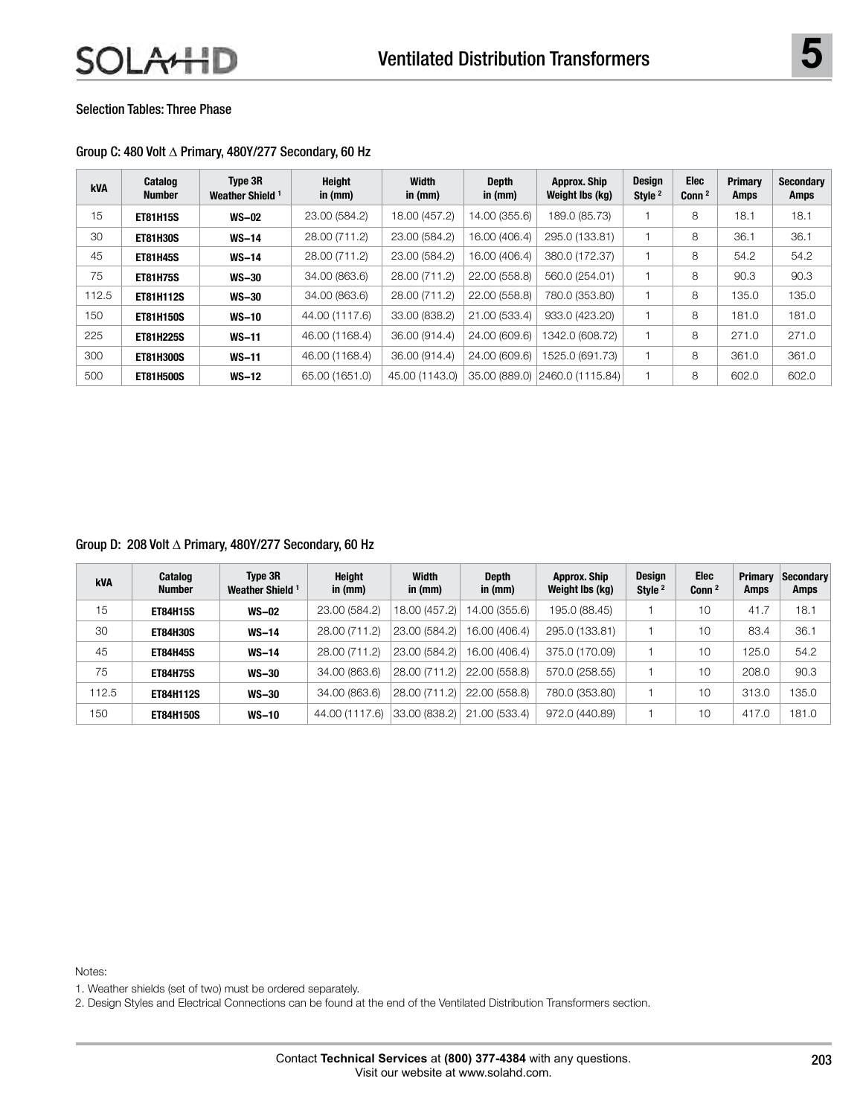#### Group C: 480 Volt Δ Primary, 480Y/277 Secondary, 60 Hz

| kVA   | Catalog<br><b>Number</b> | Type 3R<br>Weather Shield <sup>1</sup> | Height<br>in (mm) | Width<br>in $(mm)$ | <b>Depth</b><br>in $(mm)$ | Approx. Ship<br>Weight Ibs (kg) | <b>Design</b><br>Style <sup>2</sup> | Elec<br>Conn $2$ | <b>Primary</b><br>Amps | Secondary<br>Amps |
|-------|--------------------------|----------------------------------------|-------------------|--------------------|---------------------------|---------------------------------|-------------------------------------|------------------|------------------------|-------------------|
| 15    | <b>ET81H15S</b>          | <b>WS-02</b>                           | 23.00 (584.2)     | 18.00 (457.2)      | 14.00 (355.6)             | 189.0 (85.73)                   |                                     | 8                | 18.1                   | 18.1              |
| 30    | <b>ET81H30S</b>          | $WS-14$                                | 28.00 (711.2)     | 23.00 (584.2)      | 16.00 (406.4)             | 295.0 (133.81)                  |                                     | 8                | 36.1                   | 36.1              |
| 45    | <b>ET81H45S</b>          | $WS-14$                                | 28.00 (711.2)     | 23.00 (584.2)      | 16.00 (406.4)             | 380.0 (172.37)                  |                                     | 8                | 54.2                   | 54.2              |
| 75    | <b>ET81H75S</b>          | <b>WS-30</b>                           | 34.00 (863.6)     | 28.00 (711.2)      | 22.00 (558.8)             | 560.0 (254.01)                  |                                     | 8                | 90.3                   | 90.3              |
| 112.5 | <b>ET81H112S</b>         | <b>WS-30</b>                           | 34.00 (863.6)     | 28.00 (711.2)      | 22.00 (558.8)             | 780.0 (353.80)                  |                                     | 8                | 135.0                  | 135.0             |
| 150   | <b>ET81H150S</b>         | $WS-10$                                | 44.00 (1117.6)    | 33.00 (838.2)      | 21.00 (533.4)             | 933.0 (423.20)                  |                                     | 8                | 181.0                  | 181.0             |
| 225   | <b>ET81H225S</b>         | $WS-11$                                | 46.00 (1168.4)    | 36.00 (914.4)      | 24.00 (609.6)             | 1342.0 (608.72)                 |                                     | 8                | 271.0                  | 271.0             |
| 300   | <b>ET81H300S</b>         | <b>WS-11</b>                           | 46.00 (1168.4)    | 36.00 (914.4)      | 24.00 (609.6)             | 1525.0 (691.73)                 |                                     | 8                | 361.0                  | 361.0             |
| 500   | <b>ET81H500S</b>         | $WS-12$                                | 65.00 (1651.0)    | 45.00 (1143.0)     | 35,00 (889.0)             | 2460.0 (1115.84)                |                                     | 8                | 602.0                  | 602.0             |

Group D: 208 Volt Δ Primary, 480Y/277 Secondary, 60 Hz

| <b>kVA</b> | Catalog<br><b>Number</b> | Type 3R<br>Weather Shield <sup>1</sup> | <b>Height</b><br>in (mm) | Width<br>in (mm) | <b>Depth</b><br>in (mm) | Approx. Ship<br>Weight Ibs (kg) | <b>Design</b><br>Style <sup>2</sup> | <b>Elec</b><br>Conn <sup>2</sup> | <b>Primary</b><br><b>Amps</b> | <b>Secondary</b><br>Amps |
|------------|--------------------------|----------------------------------------|--------------------------|------------------|-------------------------|---------------------------------|-------------------------------------|----------------------------------|-------------------------------|--------------------------|
| 15         | <b>ET84H15S</b>          | <b>WS-02</b>                           | 23.00 (584.2)            | 18.00 (457.2)    | 14.00 (355.6)           | 195.0 (88.45)                   |                                     | 10                               | 41.7                          | 18.1                     |
| 30         | <b>ET84H30S</b>          | $WS-14$                                | 28.00 (711.2)            | 23.00 (584.2)    | 16.00 (406.4)           | 295.0 (133.81)                  |                                     | 10                               | 83.4                          | 36.1                     |
| 45         | <b>ET84H45S</b>          | <b>WS-14</b>                           | 28.00 (711.2)            | 23.00 (584.2)    | 16.00 (406.4)           | 375.0 (170.09)                  |                                     | 10                               | 125.0                         | 54.2                     |
| 75         | <b>ET84H75S</b>          | <b>WS-30</b>                           | 34.00 (863.6)            | 28.00 (711.2)    | 22.00 (558.8)           | 570.0 (258.55)                  |                                     | 10                               | 208.0                         | 90.3                     |
| 112.5      | <b>ET84H112S</b>         | <b>WS-30</b>                           | 34.00 (863.6)            | 28.00 (711.2)    | 22.00 (558.8)           | 780.0 (353.80)                  |                                     | 10                               | 313.0                         | 135.0                    |
| 150        | <b>ET84H150S</b>         | <b>WS-10</b>                           | 44.00 (1117.6)           | 33.00 (838.2)    | 21.00 (533.4)           | 972.0 (440.89)                  |                                     | 10                               | 417.0                         | 181.0                    |

Notes:

1. Weather shields (set of two) must be ordered separately.

2. Design Styles and Electrical Connections can be found at the end of the Ventilated Distribution Transformers section.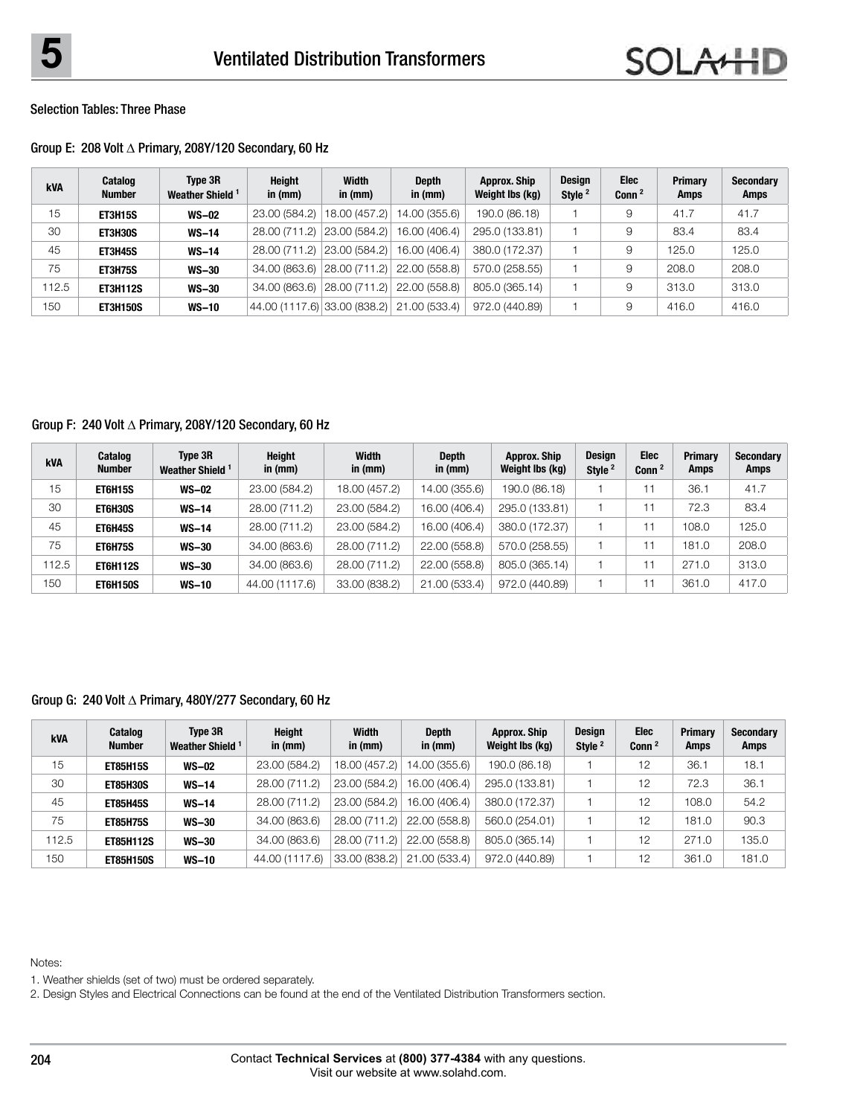# Group E: 208 Volt Δ Primary, 208Y/120 Secondary, 60 Hz

| kVA   | Catalog<br><b>Number</b> | Type 3R<br>Weather Shield <sup>1</sup> | Height<br>in (mm)            | Width<br>in (mm) | <b>Depth</b><br>in $(mm)$ | <b>Approx. Ship</b><br>Weight Ibs (kg) | Design<br>Style <sup>2</sup> | Elec<br>Conn <sup>2</sup> | Primary<br><b>Amps</b> | <b>Secondary</b><br><b>Amps</b> |
|-------|--------------------------|----------------------------------------|------------------------------|------------------|---------------------------|----------------------------------------|------------------------------|---------------------------|------------------------|---------------------------------|
| 15    | <b>ET3H15S</b>           | $WS-02$                                | 23.00 (584.2)                | 18.00 (457.2)    | 14.00 (355.6)             | 190.0 (86.18)                          |                              | 9                         | 41.7                   | 41.7                            |
| 30    | ET3H30S                  | $WS-14$                                | 28.00 (711.2)                | 23.00 (584.2)    | 16.00 (406.4)             | 295.0 (133.81)                         |                              | 9                         | 83.4                   | 83.4                            |
| 45    | <b>ET3H45S</b>           | $WS-14$                                | 28.00 (711.2)                | 23.00 (584.2)    | 16.00 (406.4)             | 380.0 (172.37)                         |                              | 9                         | 125.0                  | 125.0                           |
| 75    | ET3H75S                  | <b>WS-30</b>                           | 34,00 (863.6)                | 28.00 (711.2)    | 22.00 (558.8)             | 570.0 (258.55)                         |                              | 9                         | 208.0                  | 208.0                           |
| 112.5 | <b>ET3H112S</b>          | <b>WS-30</b>                           | 34,00 (863.6)                | 28.00 (711.2)    | 22.00 (558.8)             | 805.0 (365.14)                         |                              | 9                         | 313.0                  | 313.0                           |
| 150   | <b>ET3H150S</b>          | $WS-10$                                | 44.00 (1117.6) 33.00 (838.2) |                  | 21.00 (533.4)             | 972.0 (440.89)                         |                              | 9                         | 416.0                  | 416.0                           |

# Group F: 240 Volt Δ Primary, 208Y/120 Secondary, 60 Hz

| <b>kVA</b> | Catalog<br><b>Number</b> | Type 3R<br>Weather Shield <sup>1</sup> | <b>Height</b><br>in (mm) | <b>Width</b><br>in (mm) | <b>Depth</b><br>in (mm) | <b>Approx. Ship</b><br>Weight Ibs (kg) | <b>Design</b><br>Style <sup>2</sup> | <b>Elec</b><br>Conn <sup>2</sup> | <b>Primary</b><br>Amps | <b>Secondary</b><br>Amps |
|------------|--------------------------|----------------------------------------|--------------------------|-------------------------|-------------------------|----------------------------------------|-------------------------------------|----------------------------------|------------------------|--------------------------|
| 15         | <b>ET6H15S</b>           | $WS-02$                                | 23.00 (584.2)            | 18.00 (457.2)           | 14.00 (355.6)           | 190.0 (86.18)                          |                                     |                                  | 36.1                   | 41.7                     |
| 30         | <b>ET6H30S</b>           | $WS-14$                                | 28.00 (711.2)            | 23.00 (584.2)           | 16.00 (406.4)           | 295.0 (133.81)                         |                                     |                                  | 72.3                   | 83.4                     |
| 45         | <b>ET6H45S</b>           | $WS-14$                                | 28.00 (711.2)            | 23.00 (584.2)           | 16.00 (406.4)           | 380.0 (172.37)                         |                                     |                                  | 108.0                  | 125.0                    |
| 75         | <b>ET6H75S</b>           | <b>WS-30</b>                           | 34.00 (863.6)            | 28.00 (711.2)           | 22.00 (558.8)           | 570.0 (258.55)                         |                                     |                                  | 181.0                  | 208.0                    |
| 112.5      | <b>ET6H112S</b>          | <b>WS-30</b>                           | 34.00 (863.6)            | 28.00 (711.2)           | 22.00 (558.8)           | 805.0 (365.14)                         |                                     |                                  | 271.0                  | 313.0                    |
| 150        | <b>ET6H150S</b>          | <b>WS-10</b>                           | 44.00 (1117.6)           | 33.00 (838.2)           | 21.00 (533.4)           | 972.0 (440.89)                         |                                     |                                  | 361.0                  | 417.0                    |

# Group G: 240 Volt Δ Primary, 480Y/277 Secondary, 60 Hz

| <b>kVA</b> | <b>Catalog</b><br><b>Number</b> | Type 3R<br>Weather Shield <sup>1</sup> | <b>Height</b><br>in (mm) | Width<br>in (mm) | <b>Depth</b><br>in $(mm)$ | <b>Approx. Ship</b><br>Weight Ibs (kg) | <b>Design</b><br>Style <sup>2</sup> | Elec<br>Conn <sup>2</sup> | Primary<br>Amps | <b>Secondary</b><br><b>Amps</b> |
|------------|---------------------------------|----------------------------------------|--------------------------|------------------|---------------------------|----------------------------------------|-------------------------------------|---------------------------|-----------------|---------------------------------|
| 15         | <b>ET85H15S</b>                 | <b>WS-02</b>                           | 23.00 (584.2)            | 18.00 (457.2)    | 14.00 (355.6)             | 190.0 (86.18)                          |                                     | 12                        | 36.1            | 18.1                            |
| 30         | <b>ET85H30S</b>                 | $WS-14$                                | 28.00 (711.2)            | 23.00 (584.2)    | 16.00 (406.4)             | 295.0 (133.81)                         |                                     | 12                        | 72.3            | 36.1                            |
| 45         | <b>ET85H45S</b>                 | $WS-14$                                | 28.00 (711.2)            | 23.00 (584.2)    | 16.00 (406.4)             | 380.0 (172.37)                         |                                     | 12                        | 108.0           | 54.2                            |
| 75         | <b>ET85H75S</b>                 | <b>WS-30</b>                           | 34.00 (863.6)            | 28.00 (711.2)    | 22,00 (558.8)             | 560.0 (254.01)                         |                                     | 12                        | 181.0           | 90.3                            |
| 112.5      | <b>ET85H112S</b>                | <b>WS-30</b>                           | 34.00 (863.6)            | 28.00 (711.2)    | 22,00 (558.8)             | 805.0 (365.14)                         |                                     | 12                        | 271.0           | 135.0                           |
| 150        | <b>ET85H150S</b>                | <b>WS-10</b>                           | 44.00 (1117.6)           | 33.00 (838.2)    | 21.00 (533.4)             | 972.0 (440.89)                         |                                     | 12                        | 361.0           | 181.0                           |

Notes:

1. Weather shields (set of two) must be ordered separately.

2. Design Styles and Electrical Connections can be found at the end of the Ventilated Distribution Transformers section.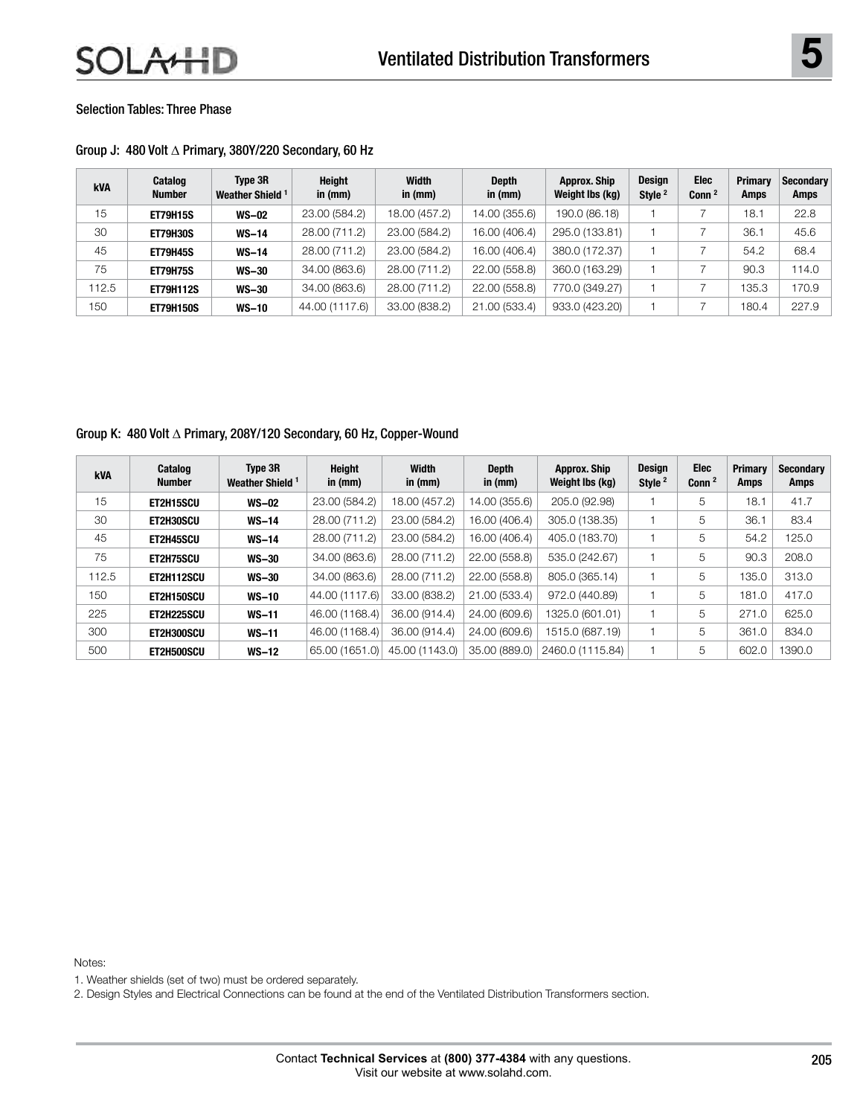| Group J: 480 Volt ∆ Primary, 380Y/220 Secondary, 60 Hz |  |  |
|--------------------------------------------------------|--|--|
|--------------------------------------------------------|--|--|

| <b>kVA</b> | Catalog<br><b>Number</b> | Type 3R<br>Weather Shield <sup>1</sup> | Height<br>in $(mm)$ | <b>Width</b><br>in (mm) | <b>Depth</b><br>in (mm) | Approx. Ship<br>Weight Ibs (kg) | <b>Design</b><br>Style <sup>2</sup> | Elec<br>Conn <sup>2</sup> | Primary<br><b>Amps</b> | <b>Secondary</b><br><b>Amps</b> |
|------------|--------------------------|----------------------------------------|---------------------|-------------------------|-------------------------|---------------------------------|-------------------------------------|---------------------------|------------------------|---------------------------------|
| 15         | <b>ET79H15S</b>          | <b>WS-02</b>                           | 23.00 (584.2)       | 18.00 (457.2)           | 14.00 (355.6)           | 190.0 (86.18)                   |                                     |                           | 18.1                   | 22.8                            |
| 30         | <b>ET79H30S</b>          | $WS-14$                                | 28.00 (711.2)       | 23.00 (584.2)           | 16.00 (406.4)           | 295.0 (133.81)                  |                                     |                           | 36.1                   | 45.6                            |
| 45         | <b>ET79H45S</b>          | $WS-14$                                | 28.00 (711.2)       | 23.00 (584.2)           | 16.00 (406.4)           | 380.0 (172.37)                  |                                     |                           | 54.2                   | 68.4                            |
| 75         | <b>ET79H75S</b>          | <b>WS-30</b>                           | 34.00 (863.6)       | 28.00 (711.2)           | 22.00 (558.8)           | 360.0 (163.29)                  |                                     |                           | 90.3                   | 114.0                           |
| 112.5      | <b>ET79H112S</b>         | <b>WS-30</b>                           | 34.00 (863.6)       | 28.00 (711.2)           | 22.00 (558.8)           | 770.0 (349.27)                  |                                     |                           | 135.3                  | 170.9                           |
| 150        | <b>ET79H150S</b>         | <b>WS-10</b>                           | 44.00 (1117.6)      | 33.00 (838.2)           | 21.00 (533.4)           | 933.0 (423.20)                  |                                     |                           | 180.4                  | 227.9                           |

## Group K: 480 Volt Δ Primary, 208Y/120 Secondary, 60 Hz, Copper-Wound

| <b>kVA</b> | Catalog<br><b>Number</b> | Type 3R<br>Weather Shield <sup>1</sup> | Height<br>in (mm) | Width<br>in $(mm)$ | <b>Depth</b><br>in (mm) | Approx. Ship<br>Weight Ibs (kg) | Design<br>Style <sup>2</sup> | Elec<br>Conn $^2$ | <b>Primary</b><br>Amps | Secondary<br>Amps |
|------------|--------------------------|----------------------------------------|-------------------|--------------------|-------------------------|---------------------------------|------------------------------|-------------------|------------------------|-------------------|
| 15         | ET2H15SCU                | <b>WS-02</b>                           | 23.00 (584.2)     | 18.00 (457.2)      | 14.00 (355.6)           | 205.0 (92.98)                   |                              | 5                 | 18.1                   | 41.7              |
| 30         | ET2H30SCU                | $WS-14$                                | 28.00 (711.2)     | 23.00 (584.2)      | 16.00 (406.4)           | 305.0 (138.35)                  |                              | 5                 | 36.1                   | 83.4              |
| 45         | ET2H45SCU                | $WS-14$                                | 28.00 (711.2)     | 23.00 (584.2)      | 16.00 (406.4)           | 405.0 (183.70)                  |                              | 5                 | 54.2                   | 125.0             |
| 75         | <b>ET2H75SCU</b>         | <b>WS-30</b>                           | 34.00 (863.6)     | 28.00 (711.2)      | 22.00 (558.8)           | 535.0 (242.67)                  |                              | 5                 | 90.3                   | 208.0             |
| 112.5      | ET2H112SCU               | <b>WS-30</b>                           | 34.00 (863.6)     | 28.00 (711.2)      | 22.00 (558.8)           | 805.0 (365.14)                  |                              | 5                 | 135.0                  | 313.0             |
| 150        | ET2H150SCU               | <b>WS-10</b>                           | 44.00 (1117.6)    | 33.00 (838.2)      | 21.00 (533.4)           | 972.0 (440.89)                  |                              | 5                 | 181.0                  | 417.0             |
| 225        | ET2H225SCU               | $WS-11$                                | 46.00 (1168.4)    | 36.00 (914.4)      | 24.00 (609.6)           | 1325.0 (601.01)                 |                              | 5                 | 271.0                  | 625.0             |
| 300        | ET2H300SCU               | $WS-11$                                | 46.00 (1168.4)    | 36.00 (914.4)      | 24.00 (609.6)           | 1515.0 (687.19)                 |                              | 5                 | 361.0                  | 834.0             |
| 500        | ET2H500SCU               | $WS-12$                                | 65.00 (1651.0)    | 45.00 (1143.0)     | 35,00 (889.0)           | 2460.0 (1115.84)                |                              | 5                 | 602.0                  | 1390.0            |

Notes:

1. Weather shields (set of two) must be ordered separately.

2. Design Styles and Electrical Connections can be found at the end of the Ventilated Distribution Transformers section.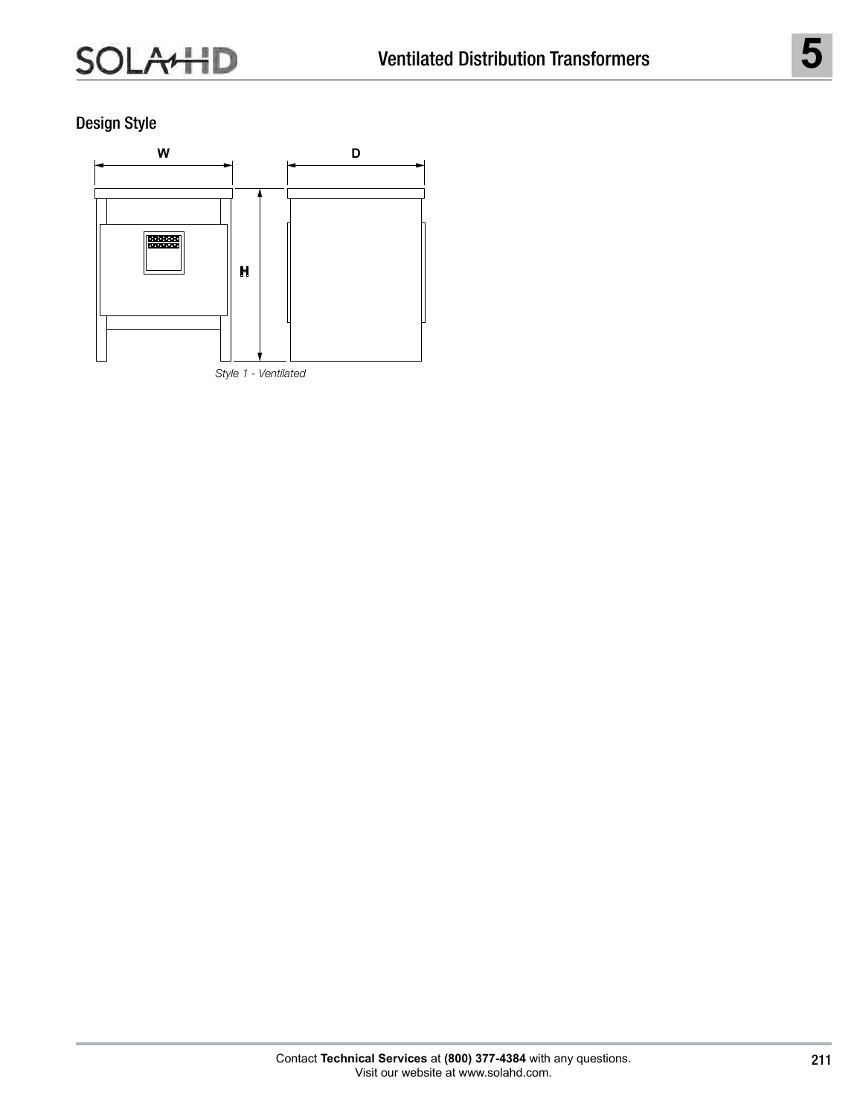Design Style

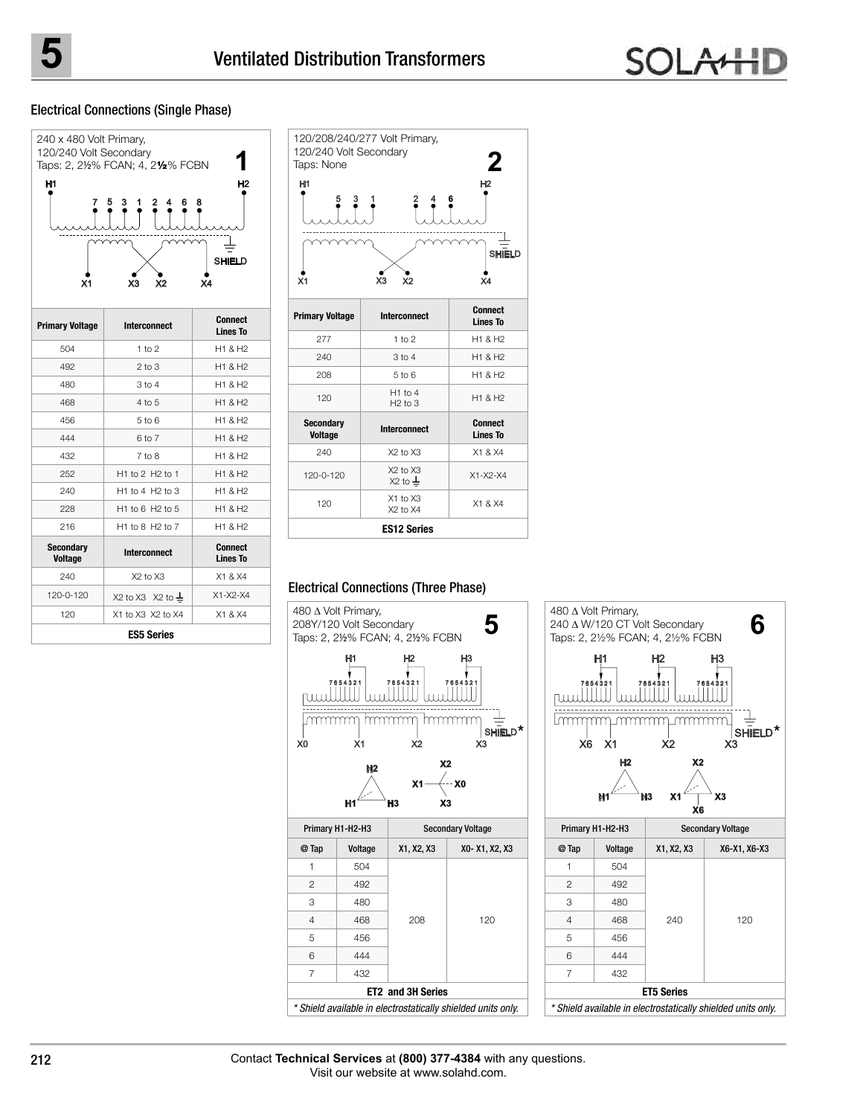## Electrical Connections (Single Phase)



| <b>Primary Voltage</b>             | Interconnect              | <b>Connect</b><br><b>Lines To</b> |
|------------------------------------|---------------------------|-----------------------------------|
| 504                                | 1 to 2                    | H1 & H2                           |
| 492                                | $2$ to $3$                | H1 & H2                           |
| 480                                | $3$ to $4$                | H1 & H2                           |
| 468                                | $4$ to $5$                | H1 & H2                           |
| 456                                | $5$ to $6$                | H1 & H2                           |
| 444                                | 6 to 7                    | H1 & H2                           |
| 432                                | $7$ to $8$                | H1 & H2                           |
| 252                                | H1 to 2 H2 to 1           | H <sub>1</sub> & H <sub>2</sub>   |
| 240                                | $H1$ to 4 $H2$ to 3       | H1 & H2                           |
| 228                                | $H1$ to 6 $H2$ to 5       | H1 & H2                           |
| 216                                | $H1$ to 8 $H2$ to 7       | H1 & H2                           |
| <b>Secondary</b><br><b>Voltage</b> | Interconnect              | Connect<br><b>Lines To</b>        |
| 240                                | $X2$ to $X3$              | X1 & X4                           |
| $120 - 0 - 120$                    | X2 to X3 $\,$ X2 to $\pm$ | $X1 - X2 - X4$                    |
| 120                                | X1 to X3 X2 to X4         | X1 & X4                           |
|                                    | <b>ES5 Series</b>         |                                   |



#### Electrical Connections (Three Phase)





**ET2 and 3H Series** \* Shield available in electrostatically shielded units only.